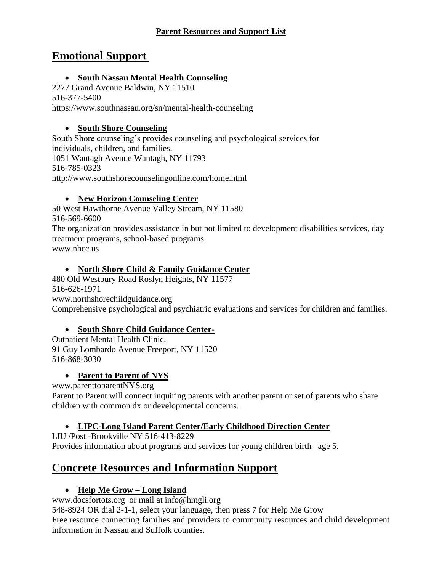### **Parent Resources and Support List**

# **Emotional Support**

## • **South Nassau Mental Health Counseling**

2277 Grand Avenue Baldwin, NY 11510 516-377-5400 https://www.southnassau.org/sn/mental-health-counseling

## • **South Shore Counseling**

South Shore counseling's provides counseling and psychological services for individuals, children, and families. 1051 Wantagh Avenue Wantagh, NY 11793 516-785-0323 <http://www.southshorecounselingonline.com/home.html>

## • **New Horizon Counseling Center**

50 West Hawthorne Avenue Valley Stream, NY 11580 516-569-6600 The organization provides assistance in but not limited to development disabilities services, day treatment programs, school-based programs. www.nhcc.us

## • **North Shore Child & Family Guidance Center**

480 Old Westbury Road Roslyn Heights, NY 11577 516-626-1971 [www.northshorechildguidance.org](http://www.northshorechildguidance.org/) Comprehensive psychological and psychiatric evaluations and services for children and families.

# • **South Shore Child Guidance Center-**

Outpatient Mental Health Clinic. 91 Guy Lombardo Avenue Freeport, NY 11520 516-868-3030

# • **Parent to Parent of NYS**

www.parenttoparentNYS.org

Parent to Parent will connect inquiring parents with another parent or set of parents who share children with common dx or developmental concerns.

# • **LIPC-Long Island Parent Center/Early Childhood Direction Center**

LIU /Post -Brookville NY 516-413-8229 Provides information about programs and services for young children birth –age 5.

# **Concrete Resources and Information Support**

# • **Help Me Grow – Long Island**

www.docsfortots.org or mail at [info@hmgli.org](mailto:info@hmgli.org)

548-8924 OR dial 2-1-1, select your language, then press 7 for Help Me Grow Free resource connecting families and providers to community resources and child development information in Nassau and Suffolk counties.